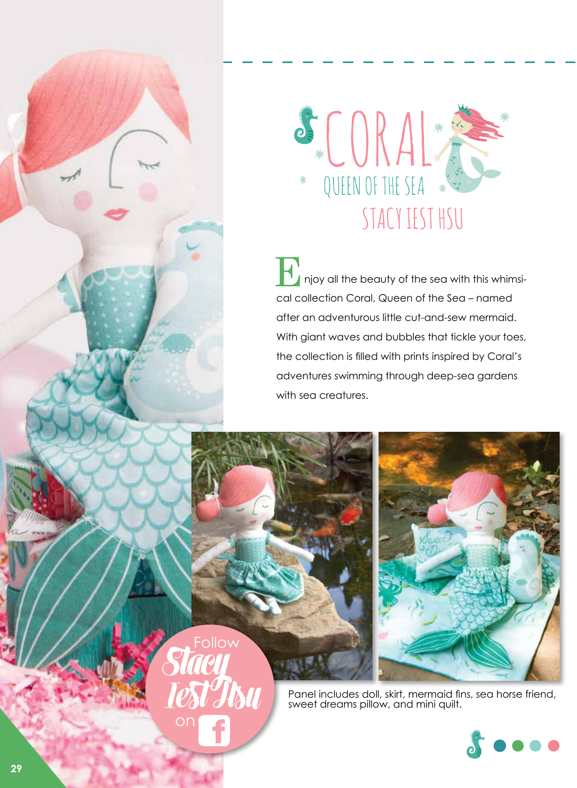

**T** injoy all the beauty of the sea with this whimsical collection Coral, Queen of the Sea – named after an adventurous little cut-and-sew mermaid. With giant waves and bubbles that tickle your toes, the collection is filled with prints inspired by Coral's adventures swimming through deep-sea gardens with sea creatures. E



Panel includes doll, skirt, mermaid fins, sea horse friend, sweet dreams pillow, and mini quilt.



**Stacy Iest Hsu** Follow on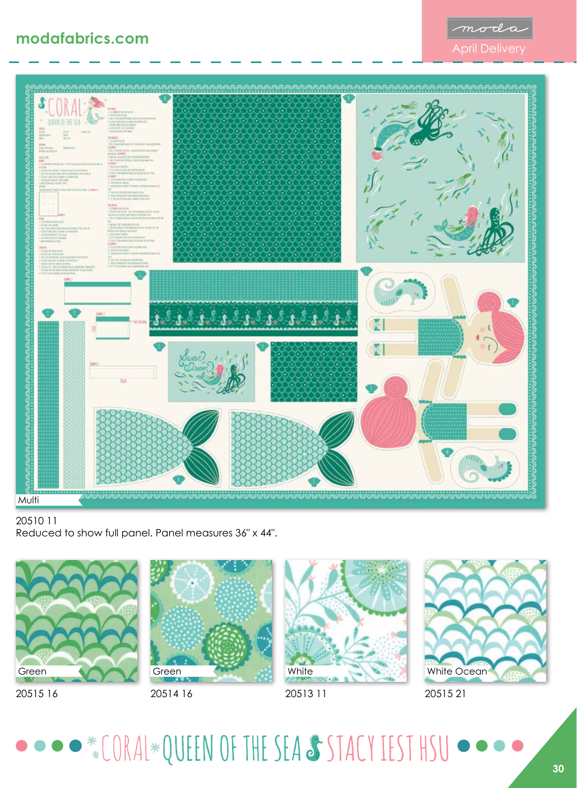



## 20510 11 Reduced to show full panel. Panel measures 36" x 44".



20515 16



20514 16



White Ocean

20515 21

## · \* CORAL\*QUEEN OF THE SEA & STACY IEST HSU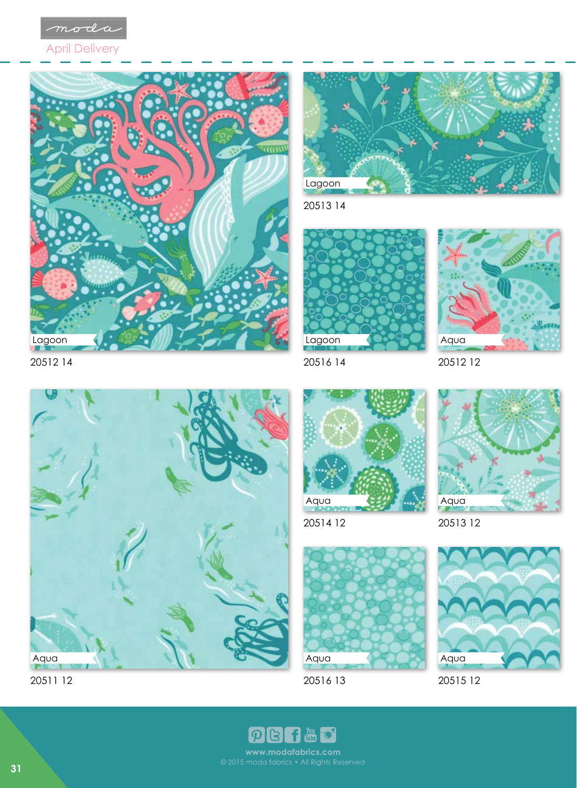

April Delivery





20513 14



20516 14



20512 12



20511 12



20514 12



20516 13



20513 12



20515 12

 $\frac{V_{\text{OU}}}{V_{\text{U}}}\$ f  $\boldsymbol{\varphi}$ www.modafabrics.com